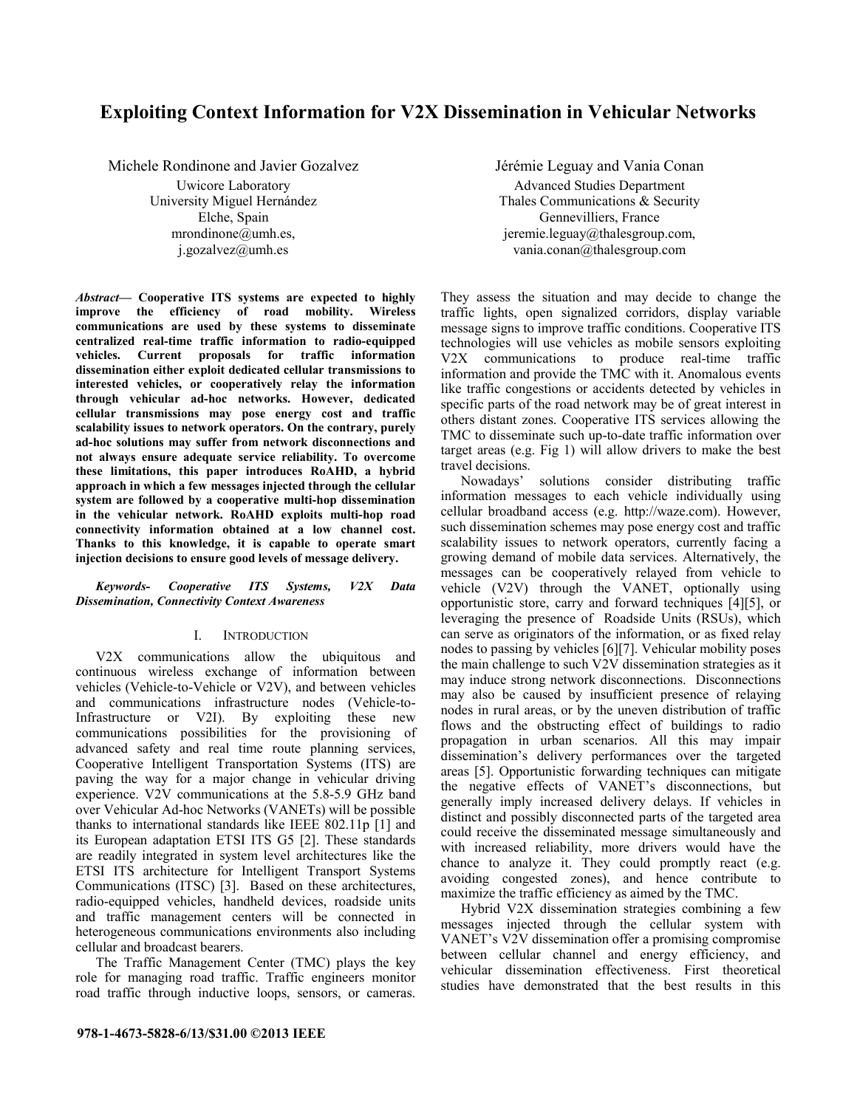# **Exploiting Context Information for V2X Dissemination in Vehicular Networks**

Michele Rondinone and Javier Gozalvez Uwicore Laboratory University Miguel Hernández Elche, Spain mrondinone@umh.es, j.gozalvez@umh.es

*Abstract***— Cooperative ITS systems are expected to highly improve the efficiency of road mobility. Wireless communications are used by these systems to disseminate centralized real-time traffic information to radio-equipped vehicles. Current proposals for traffic information dissemination either exploit dedicated cellular transmissions to interested vehicles, or cooperatively relay the information through vehicular ad-hoc networks. However, dedicated cellular transmissions may pose energy cost and traffic scalability issues to network operators. On the contrary, purely ad-hoc solutions may suffer from network disconnections and not always ensure adequate service reliability. To overcome these limitations, this paper introduces RoAHD, a hybrid approach in which a few messages injected through the cellular system are followed by a cooperative multi-hop dissemination in the vehicular network. RoAHD exploits multi-hop road connectivity information obtained at a low channel cost. Thanks to this knowledge, it is capable to operate smart injection decisions to ensure good levels of message delivery.** 

## *Keywords- Cooperative ITS Systems, V2X Data Dissemination, Connectivity Context Awareness*

### I. INTRODUCTION

V2X communications allow the ubiquitous and continuous wireless exchange of information between vehicles (Vehicle-to-Vehicle or V2V), and between vehicles and communications infrastructure nodes (Vehicle-to-Infrastructure or V2I). By exploiting these new communications possibilities for the provisioning of advanced safety and real time route planning services, Cooperative Intelligent Transportation Systems (ITS) are paving the way for a major change in vehicular driving experience. V2V communications at the 5.8-5.9 GHz band over Vehicular Ad-hoc Networks (VANETs) will be possible thanks to international standards like IEEE 802.11p [1] and its European adaptation ETSI ITS G5 [2]. These standards are readily integrated in system level architectures like the ETSI ITS architecture for Intelligent Transport Systems Communications (ITSC) [3]. Based on these architectures, radio-equipped vehicles, handheld devices, roadside units and traffic management centers will be connected in heterogeneous communications environments also including cellular and broadcast bearers.

The Traffic Management Center (TMC) plays the key role for managing road traffic. Traffic engineers monitor road traffic through inductive loops, sensors, or cameras.

Jérémie Leguay and Vania Conan Advanced Studies Department Thales Communications & Security Gennevilliers, France jeremie.leguay@thalesgroup.com, vania.conan@thalesgroup.com

They assess the situation and may decide to change the traffic lights, open signalized corridors, display variable message signs to improve traffic conditions. Cooperative ITS technologies will use vehicles as mobile sensors exploiting V2X communications to produce real-time traffic information and provide the TMC with it. Anomalous events like traffic congestions or accidents detected by vehicles in specific parts of the road network may be of great interest in others distant zones. Cooperative ITS services allowing the TMC to disseminate such up-to-date traffic information over target areas (e.g. Fig 1) will allow drivers to make the best travel decisions.

Nowadays' solutions consider distributing traffic information messages to each vehicle individually using cellular broadband access (e.g. http://waze.com). However, such dissemination schemes may pose energy cost and traffic scalability issues to network operators, currently facing a growing demand of mobile data services. Alternatively, the messages can be cooperatively relayed from vehicle to vehicle (V2V) through the VANET, optionally using opportunistic store, carry and forward techniques [4][5], or leveraging the presence of Roadside Units (RSUs), which can serve as originators of the information, or as fixed relay nodes to passing by vehicles [6][7]. Vehicular mobility poses the main challenge to such  $V2V$  dissemination strategies as it may induce strong network disconnections. Disconnections may also be caused by insufficient presence of relaying nodes in rural areas, or by the uneven distribution of traffic flows and the obstructing effect of buildings to radio propagation in urban scenarios. All this may impair dissemination's delivery performances over the targeted areas [5]. Opportunistic forwarding techniques can mitigate the negative effects of VANET's disconnections, but generally imply increased delivery delays. If vehicles in distinct and possibly disconnected parts of the targeted area could receive the disseminated message simultaneously and with increased reliability, more drivers would have the chance to analyze it. They could promptly react (e.g. avoiding congested zones), and hence contribute to maximize the traffic efficiency as aimed by the TMC.

Hybrid V2X dissemination strategies combining a few messages injected through the cellular system with VANET's V2V dissemination offer a promising compromise between cellular channel and energy efficiency, and vehicular dissemination effectiveness. First theoretical studies have demonstrated that the best results in this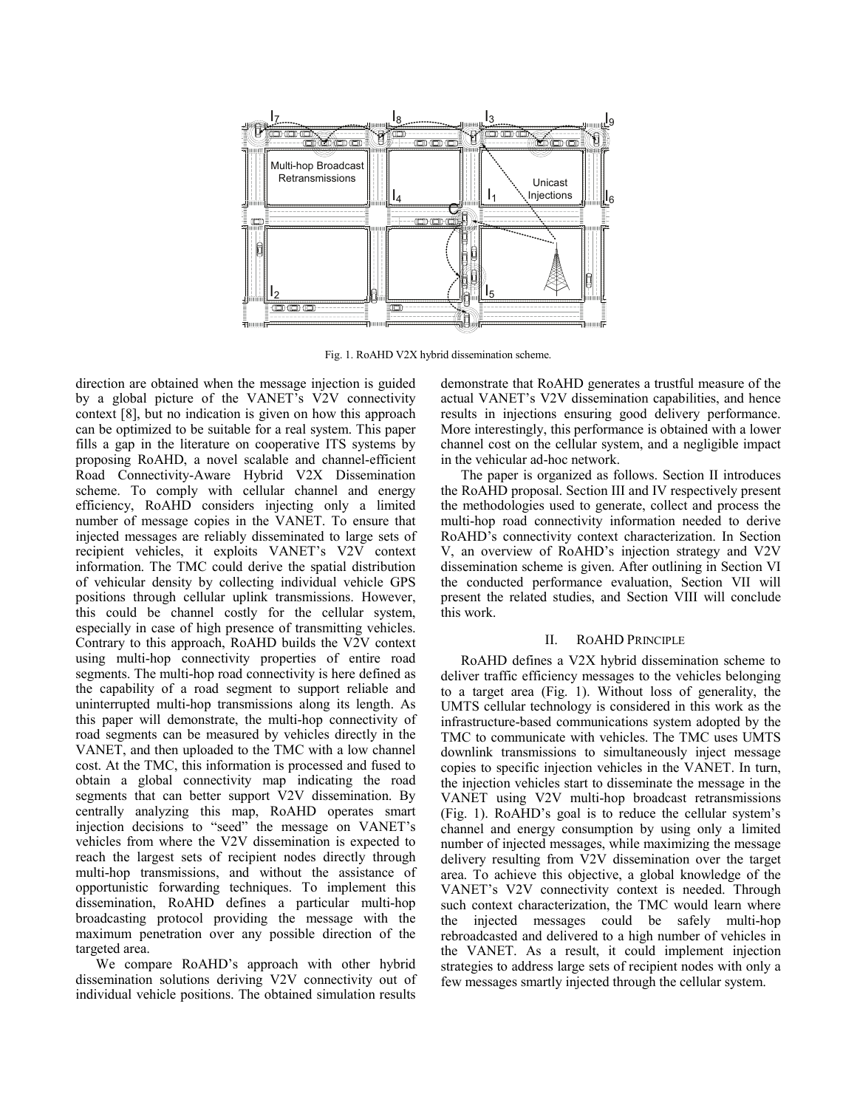

Fig. 1. RoAHD V2X hybrid dissemination scheme.

direction are obtained when the message injection is guided by a global picture of the VANET's V2V connectivity context [8], but no indication is given on how this approach can be optimized to be suitable for a real system. This paper fills a gap in the literature on cooperative ITS systems by proposing RoAHD, a novel scalable and channel-efficient Road Connectivity-Aware Hybrid V2X Dissemination scheme. To comply with cellular channel and energy efficiency, RoAHD considers injecting only a limited number of message copies in the VANET. To ensure that injected messages are reliably disseminated to large sets of recipient vehicles, it exploits VANET's V2V context information. The TMC could derive the spatial distribution of vehicular density by collecting individual vehicle GPS positions through cellular uplink transmissions. However, this could be channel costly for the cellular system, especially in case of high presence of transmitting vehicles. Contrary to this approach, RoAHD builds the V2V context using multi-hop connectivity properties of entire road segments. The multi-hop road connectivity is here defined as the capability of a road segment to support reliable and uninterrupted multi-hop transmissions along its length. As this paper will demonstrate, the multi-hop connectivity of road segments can be measured by vehicles directly in the VANET, and then uploaded to the TMC with a low channel cost. At the TMC, this information is processed and fused to obtain a global connectivity map indicating the road segments that can better support V2V dissemination. By centrally analyzing this map, RoAHD operates smart injection decisions to "seed" the message on VANET's vehicles from where the V2V dissemination is expected to reach the largest sets of recipient nodes directly through multi-hop transmissions, and without the assistance of opportunistic forwarding techniques. To implement this dissemination, RoAHD defines a particular multi-hop broadcasting protocol providing the message with the maximum penetration over any possible direction of the targeted area.

We compare RoAHD's approach with other hybrid dissemination solutions deriving V2V connectivity out of individual vehicle positions. The obtained simulation results demonstrate that RoAHD generates a trustful measure of the actual VANET's V2V dissemination capabilities, and hence results in injections ensuring good delivery performance. More interestingly, this performance is obtained with a lower channel cost on the cellular system, and a negligible impact in the vehicular ad-hoc network.

The paper is organized as follows. Section II introduces the RoAHD proposal. Section III and IV respectively present the methodologies used to generate, collect and process the multi-hop road connectivity information needed to derive RoAHD's connectivity context characterization. In Section V, an overview of RoAHD's injection strategy and V2V dissemination scheme is given. After outlining in Section VI the conducted performance evaluation, Section VII will present the related studies, and Section VIII will conclude this work.

## II. ROAHD PRINCIPLE

RoAHD defines a V2X hybrid dissemination scheme to deliver traffic efficiency messages to the vehicles belonging to a target area (Fig. 1). Without loss of generality, the UMTS cellular technology is considered in this work as the infrastructure-based communications system adopted by the TMC to communicate with vehicles. The TMC uses UMTS downlink transmissions to simultaneously inject message copies to specific injection vehicles in the VANET. In turn, the injection vehicles start to disseminate the message in the VANET using V2V multi-hop broadcast retransmissions (Fig. 1). RoAHD's goal is to reduce the cellular system's channel and energy consumption by using only a limited number of injected messages, while maximizing the message delivery resulting from V2V dissemination over the target area. To achieve this objective, a global knowledge of the VANET's V2V connectivity context is needed. Through such context characterization, the TMC would learn where the injected messages could be safely multi-hop rebroadcasted and delivered to a high number of vehicles in the VANET. As a result, it could implement injection strategies to address large sets of recipient nodes with only a few messages smartly injected through the cellular system.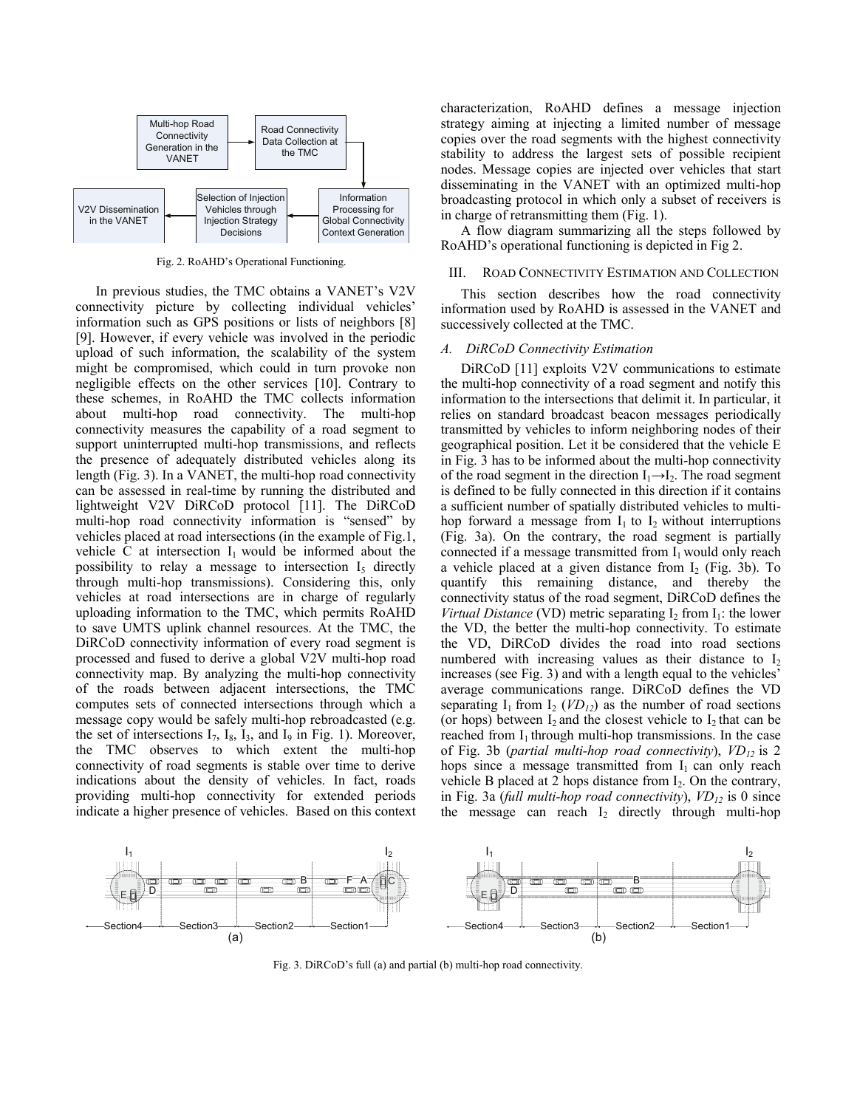

Fig. 2. RoAHD's Operational Functioning.

In previous studies, the TMC obtains a VANET's V2V connectivity picture by collecting individual vehicles' information such as GPS positions or lists of neighbors [8] [9]. However, if every vehicle was involved in the periodic upload of such information, the scalability of the system might be compromised, which could in turn provoke non negligible effects on the other services [10]. Contrary to these schemes, in RoAHD the TMC collects information about multi-hop road connectivity. The multi-hop connectivity measures the capability of a road segment to support uninterrupted multi-hop transmissions, and reflects the presence of adequately distributed vehicles along its length (Fig. 3). In a VANET, the multi-hop road connectivity can be assessed in real-time by running the distributed and lightweight V2V DiRCoD protocol [11]. The DiRCoD multi-hop road connectivity information is "sensed" by vehicles placed at road intersections (in the example of Fig.1, vehicle C at intersection  $I_1$  would be informed about the possibility to relay a message to intersection  $I_5$  directly through multi-hop transmissions). Considering this, only vehicles at road intersections are in charge of regularly uploading information to the TMC, which permits RoAHD to save UMTS uplink channel resources. At the TMC, the DiRCoD connectivity information of every road segment is processed and fused to derive a global V2V multi-hop road connectivity map. By analyzing the multi-hop connectivity of the roads between adjacent intersections, the TMC computes sets of connected intersections through which a message copy would be safely multi-hop rebroadcasted (e.g. the set of intersections  $I_7$ ,  $I_8$ ,  $I_3$ , and  $I_9$  in Fig. 1). Moreover, the TMC observes to which extent the multi-hop connectivity of road segments is stable over time to derive indications about the density of vehicles. In fact, roads providing multi-hop connectivity for extended periods indicate a higher presence of vehicles. Based on this context characterization, RoAHD defines a message injection strategy aiming at injecting a limited number of message copies over the road segments with the highest connectivity stability to address the largest sets of possible recipient nodes. Message copies are injected over vehicles that start disseminating in the VANET with an optimized multi-hop broadcasting protocol in which only a subset of receivers is in charge of retransmitting them (Fig. 1).

A flow diagram summarizing all the steps followed by RoAHD's operational functioning is depicted in Fig 2.

#### III. ROAD CONNECTIVITY ESTIMATION AND COLLECTION

This section describes how the road connectivity information used by RoAHD is assessed in the VANET and successively collected at the TMC.

#### *A. DiRCoD Connectivity Estimation*

DiRCoD [11] exploits V2V communications to estimate the multi-hop connectivity of a road segment and notify this information to the intersections that delimit it. In particular, it relies on standard broadcast beacon messages periodically transmitted by vehicles to inform neighboring nodes of their geographical position. Let it be considered that the vehicle E in Fig. 3 has to be informed about the multi-hop connectivity of the road segment in the direction  $I_1 \rightarrow I_2$ . The road segment is defined to be fully connected in this direction if it contains a sufficient number of spatially distributed vehicles to multihop forward a message from  $I_1$  to  $I_2$  without interruptions (Fig. 3a). On the contrary, the road segment is partially connected if a message transmitted from  $I_1$  would only reach a vehicle placed at a given distance from  $I_2$  (Fig. 3b). To quantify this remaining distance, and thereby the connectivity status of the road segment, DiRCoD defines the *Virtual Distance* (VD) metric separating  $I_2$  from  $I_1$ : the lower the VD, the better the multi-hop connectivity. To estimate the VD, DiRCoD divides the road into road sections numbered with increasing values as their distance to  $I_2$ increases (see Fig. 3) and with a length equal to the vehicles' average communications range. DiRCoD defines the VD separating  $I_1$  from  $I_2$  (*VD<sub>12</sub>*) as the number of road sections (or hops) between  $I_2$  and the closest vehicle to  $I_2$  that can be reached from  $I_1$  through multi-hop transmissions. In the case of Fig. 3b (*partial multi-hop road connectivity*), *VD12* is 2 hops since a message transmitted from  $I_1$  can only reach vehicle B placed at 2 hops distance from  $I_2$ . On the contrary, in Fig. 3a (*full multi-hop road connectivity*), *VD12* is 0 since the message can reach  $I_2$  directly through multi-hop



Fig. 3. DiRCoD's full (a) and partial (b) multi-hop road connectivity.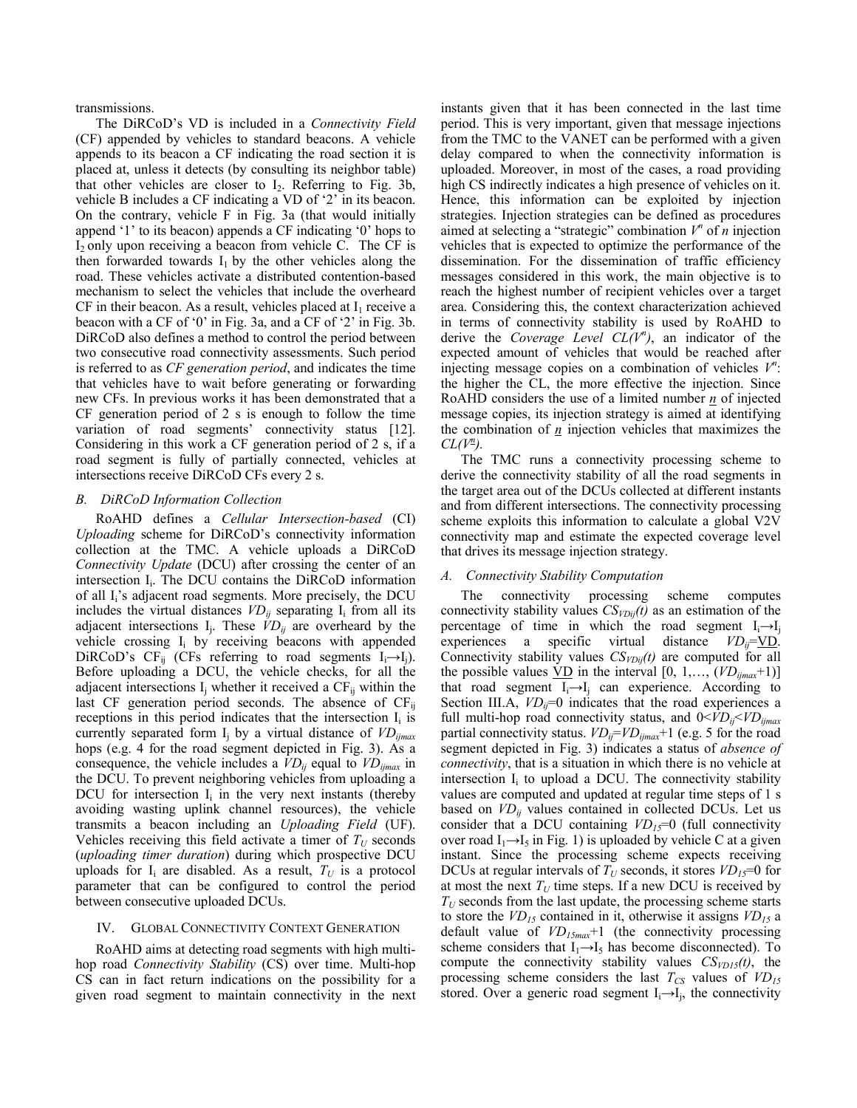transmissions.

The DiRCoD's VD is included in a *Connectivity Field* (CF) appended by vehicles to standard beacons. A vehicle appends to its beacon a CF indicating the road section it is placed at, unless it detects (by consulting its neighbor table) that other vehicles are closer to I2. Referring to Fig. 3b, vehicle B includes a CF indicating a VD of '2' in its beacon. On the contrary, vehicle F in Fig. 3a (that would initially append '1' to its beacon) appends a CF indicating '0' hops to  $I_2$  only upon receiving a beacon from vehicle C. The CF is then forwarded towards  $I_1$  by the other vehicles along the road. These vehicles activate a distributed contention-based mechanism to select the vehicles that include the overheard CF in their beacon. As a result, vehicles placed at  $I_1$  receive a beacon with a CF of '0' in Fig. 3a, and a CF of '2' in Fig. 3b. DiRCoD also defines a method to control the period between two consecutive road connectivity assessments. Such period is referred to as *CF generation period*, and indicates the time that vehicles have to wait before generating or forwarding new CFs. In previous works it has been demonstrated that a CF generation period of 2 s is enough to follow the time variation of road segments' connectivity status [12]. Considering in this work a CF generation period of 2 s, if a road segment is fully of partially connected, vehicles at intersections receive DiRCoD CFs every 2 s.

## *B. DiRCoD Information Collection*

RoAHD defines a *Cellular Intersection-based* (CI) *Uploading* scheme for DiRCoD's connectivity information collection at the TMC. A vehicle uploads a DiRCoD *Connectivity Update* (DCU) after crossing the center of an intersection I<sub>i</sub>. The DCU contains the DiRCoD information of all  $I_i$ 's adjacent road segments. More precisely, the DCU includes the virtual distances  $VD_{ij}$  separating  $I_i$  from all its adjacent intersections  $I_i$ . These  $\dot{V}D_{ij}$  are overheard by the vehicle crossing  $I_i$  by receiving beacons with appended DiRCoD's CF<sub>ij</sub> (CFs referring to road segments I<sub>i</sub>→I<sub>j</sub>). Before uploading a DCU, the vehicle checks, for all the adjacent intersections  $I_i$  whether it received a  $CF_{ii}$  within the last CF generation period seconds. The absence of  $CF_{ii}$ receptions in this period indicates that the intersection  $I_i$  is currently separated form I<sub>i</sub> by a virtual distance of *VD*<sub>iimax</sub> hops (e.g. 4 for the road segment depicted in Fig. 3). As a consequence, the vehicle includes a  $VD_{ij}$  equal to  $VD_{ijmax}$  in the DCU. To prevent neighboring vehicles from uploading a DCU for intersection  $I_i$  in the very next instants (thereby avoiding wasting uplink channel resources), the vehicle transmits a beacon including an *Uploading Field* (UF). Vehicles receiving this field activate a timer of  $T_U$  seconds (*uploading timer duration*) during which prospective DCU uploads for  $I_i$  are disabled. As a result,  $T_U$  is a protocol parameter that can be configured to control the period between consecutive uploaded DCUs.

## IV. GLOBAL CONNECTIVITY CONTEXT GENERATION

RoAHD aims at detecting road segments with high multihop road *Connectivity Stability* (CS) over time. Multi-hop CS can in fact return indications on the possibility for a given road segment to maintain connectivity in the next instants given that it has been connected in the last time period. This is very important, given that message injections from the TMC to the VANET can be performed with a given delay compared to when the connectivity information is uploaded. Moreover, in most of the cases, a road providing high CS indirectly indicates a high presence of vehicles on it. Hence, this information can be exploited by injection strategies. Injection strategies can be defined as procedures aimed at selecting a "strategic" combination  $V^n$  of *n* injection vehicles that is expected to optimize the performance of the dissemination. For the dissemination of traffic efficiency messages considered in this work, the main objective is to reach the highest number of recipient vehicles over a target area. Considering this, the context characterization achieved in terms of connectivity stability is used by RoAHD to derive the *Coverage Level CL(V<sup>n</sup>)*, an indicator of the expected amount of vehicles that would be reached after injecting message copies on a combination of vehicles  $V^n$ : the higher the CL, the more effective the injection. Since RoAHD considers the use of a limited number *n* of injected message copies, its injection strategy is aimed at identifying the combination of  $n$  injection vehicles that maximizes the  $CL(V^{\underline{n}})$ .

The TMC runs a connectivity processing scheme to derive the connectivity stability of all the road segments in the target area out of the DCUs collected at different instants and from different intersections. The connectivity processing scheme exploits this information to calculate a global V2V connectivity map and estimate the expected coverage level that drives its message injection strategy.

### *A. Connectivity Stability Computation*

The connectivity processing scheme computes connectivity stability values  $CS_{VDi}(t)$  as an estimation of the percentage of time in which the road segment  $I_i \rightarrow I_j$ experiences a specific virtual distance *VD<sub>ij</sub>*=VD. Connectivity stability values  $CS_{VDii}(t)$  are computed for all the possible values  $\underline{VD}$  in the interval  $[0, 1, \dots, (VD_{ijmax}+1)]$ that road segment  $I_i \rightarrow I_i$  can experience. According to Section III.A,  $VD_{ii}=0$  indicates that the road experiences a full multi-hop road connectivity status, and 0<*VDij*<*VDijmax* partial connectivity status.  $VD_{ij} = VD_{ijmax} + 1$  (e.g. 5 for the road segment depicted in Fig. 3) indicates a status of *absence of connectivity*, that is a situation in which there is no vehicle at intersection  $I_i$  to upload a DCU. The connectivity stability values are computed and updated at regular time steps of 1 s based on  $VD_{ii}$  values contained in collected DCUs. Let us consider that a DCU containing  $VD_{15}=0$  (full connectivity over road  $I_1 \rightarrow I_5$  in Fig. 1) is uploaded by vehicle C at a given instant. Since the processing scheme expects receiving DCUs at regular intervals of  $T_U$  seconds, it stores  $VD_{15}=0$  for at most the next  $T_U$  time steps. If a new DCU is received by  $T_U$  seconds from the last update, the processing scheme starts to store the  $VD_{15}$  contained in it, otherwise it assigns  $VD_{15}$  a default value of *VD15max*+1 (the connectivity processing scheme considers that  $I_1 \rightarrow I_5$  has become disconnected). To compute the connectivity stability values  $CS<sub>VDI5</sub>(t)$ , the processing scheme considers the last  $T_{CS}$  values of  $VD_{15}$ stored. Over a generic road segment  $I_i \rightarrow I_j$ , the connectivity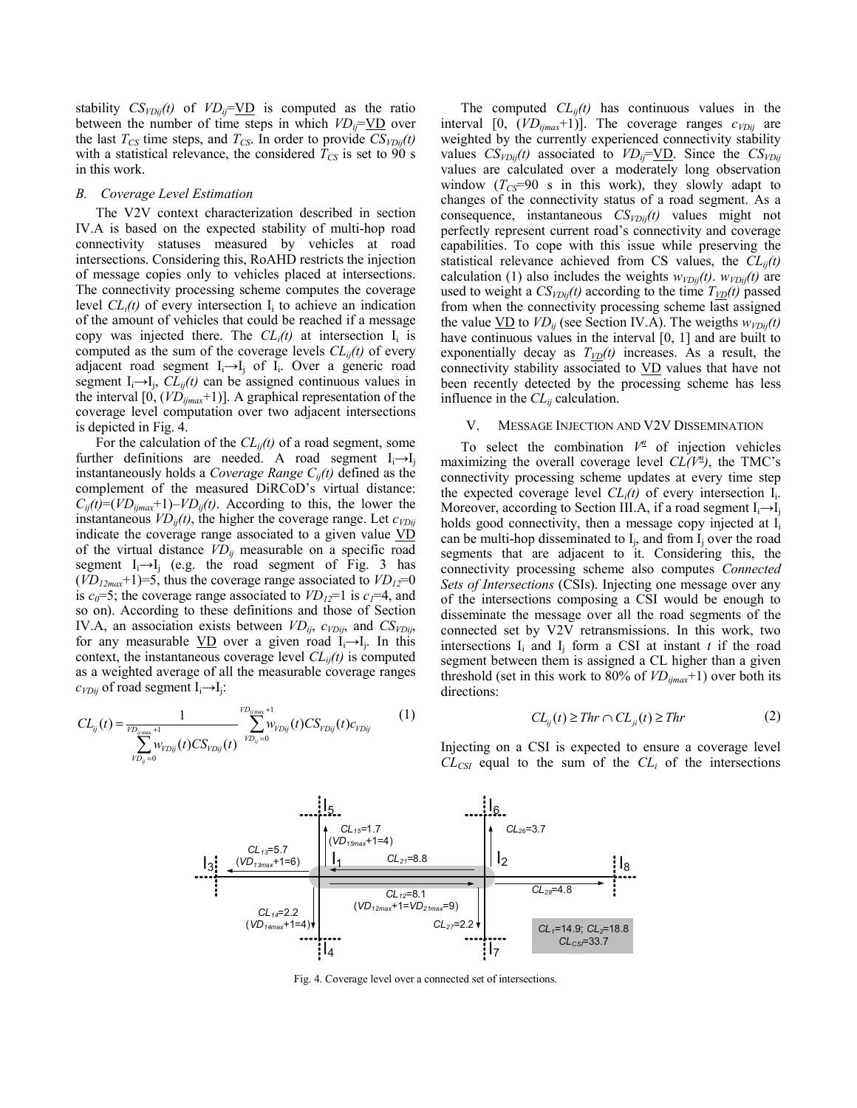stability  $CS_{VDij}(t)$  of  $VD_{ij} = \underline{VD}$  is computed as the ratio between the number of time steps in which  $VD_{ii} = \underline{VD}$  over the last  $T_{CS}$  time steps, and  $T_{CS}$ . In order to provide  $CS_{VDii}(t)$ with a statistical relevance, the considered  $T_{CS}$  is set to 90 s in this work.

#### *B. Coverage Level Estimation*

The V2V context characterization described in section IV.A is based on the expected stability of multi-hop road connectivity statuses measured by vehicles at road intersections. Considering this, RoAHD restricts the injection of message copies only to vehicles placed at intersections. The connectivity processing scheme computes the coverage level  $CL<sub>i</sub>(t)$  of every intersection  $I<sub>i</sub>$  to achieve an indication of the amount of vehicles that could be reached if a message copy was injected there. The  $CL<sub>i</sub>(t)$  at intersection  $I<sub>i</sub>$  is computed as the sum of the coverage levels  $CL_{ii}(t)$  of every adjacent road segment  $I_i \rightarrow I_i$  of  $I_i$ . Over a generic road segment  $I_i \rightarrow I_i$ ,  $CL_{ii}(t)$  can be assigned continuous values in the interval [0, (*VDijmax*+1)]. A graphical representation of the coverage level computation over two adjacent intersections is depicted in Fig. 4.

For the calculation of the  $CL_{ii}(t)$  of a road segment, some further definitions are needed. A road segment  $I_i \rightarrow I_j$ instantaneously holds a *Coverage Range Cij(t)* defined as the complement of the measured DiRCoD's virtual distance:  $C_{ij}(t)=(VD_{ijmax}+1)-VD_{ij}(t)$ . According to this, the lower the instantaneous  $VD_{ii}(t)$ , the higher the coverage range. Let  $c_{VDii}$ indicate the coverage range associated to a given value VD of the virtual distance  $VD_{ij}$  measurable on a specific road segment  $I_i \rightarrow I_i$  (e.g. the road segment of Fig. 3 has  $(VD_{12\text{max}}+1)=5$ , thus the coverage range associated to  $VD_{12}=0$ is  $c_0=5$ ; the coverage range associated to  $VD_{12}=1$  is  $c_1=4$ , and so on). According to these definitions and those of Section IV.A, an association exists between  $VD_{ij}$ ,  $c_{VDij}$ , and  $CS_{VDij}$ , for any measurable  $\underline{VD}$  over a given road I<sub>i</sub>→I<sub>i</sub>. In this context, the instantaneous coverage level  $CL_{ii}(t)$  is computed as a weighted average of all the measurable coverage ranges  $c_{VDij}$  of road segment  $I_i \rightarrow I_j$ :

$$
CL_{ij}(t) = \frac{1}{\sum_{\substack{\nu_{D_{ij}} \text{max} + 1 \\ \nu_{D_{ij}} = 0}} \sum_{\substack{\nu_{D_{ij}} \text{max} + 1 \\ \nu_{D_{ij}} = 0}}^{\nu_{D_{ij}} \text{max} + 1} w_{\nu_{Dij}}(t) C S_{\nu_{Dij}}(t) c_{\nu_{Dij}}}
$$
(1)

The computed  $CL_{ij}(t)$  has continuous values in the interval [0,  $(VD_{ijmax}+1)$ ]. The coverage ranges  $c_{VDij}$  are weighted by the currently experienced connectivity stability values  $CS_{VDij}(t)$  associated to  $VD_{ij} = \underline{VD}$ . Since the  $CS_{VDij}$ values are calculated over a moderately long observation window  $(T_{CS} = 90 \text{ s in this work})$ , they slowly adapt to changes of the connectivity status of a road segment. As a consequence, instantaneous *CSVDij(t)* values might not perfectly represent current road's connectivity and coverage capabilities. To cope with this issue while preserving the statistical relevance achieved from CS values, the  $CL_{ii}(t)$ calculation (1) also includes the weights  $w_{VDij}(t)$ .  $w_{VDij}(t)$  are used to weight a  $CS_{VDii}(t)$  according to the time  $T_{VD}(t)$  passed from when the connectivity processing scheme last assigned the value  $\underline{VD}$  to  $VD_{ij}$  (see Section IV.A). The weigths  $w_{VDij}(t)$ have continuous values in the interval [0, 1] and are built to exponentially decay as  $T_{VD}(t)$  increases. As a result, the connectivity stability associated to VD values that have not been recently detected by the processing scheme has less influence in the *CLij* calculation.

#### V. MESSAGE INJECTION AND V2V DISSEMINATION

To select the combination  $V^{\underline{n}}$  of injection vehicles maximizing the overall coverage level  $CL(V^2)$ , the TMC's connectivity processing scheme updates at every time step the expected coverage level  $CL<sub>i</sub>(t)$  of every intersection  $I<sub>i</sub>$ . Moreover, according to Section III.A, if a road segment  $I_i \rightarrow I_j$ holds good connectivity, then a message copy injected at  $I_i$ can be multi-hop disseminated to  $I_i$ , and from  $I_i$  over the road segments that are adjacent to it. Considering this, the connectivity processing scheme also computes *Connected Sets of Intersections* (CSIs). Injecting one message over any of the intersections composing a CSI would be enough to disseminate the message over all the road segments of the connected set by V2V retransmissions. In this work, two intersections  $I_i$  and  $I_j$  form a CSI at instant  $t$  if the road segment between them is assigned a CL higher than a given threshold (set in this work to 80% of  $VD_{ijmax}$ +1) over both its directions:

$$
CL_{ij}(t) \geq Thr \cap CL_{ji}(t) \geq Thr \tag{2}
$$

*CL14*=2.2 (*VD14max*+1=4)  $I_3$   $\left(\frac{(VD_{13max}+1=6)}{(VD_{13max}+1=6)}\right)$   $I_1$   $CL_{21}=8.8$   $I_2$  $\mathsf{l}_5$ *CL12*=8.1 (*VD12max*+1=*VD21max*=9) *CL13*=5.7 *CL15*=1.7 (*VD15max*+1=4) *CL<sub>1</sub>*=14.9; *CL<sub>2</sub>*=18.8 *CLCSI*=33.7 *CL21*=8.8  $\mathsf{l}_6$ *CL27*=2.2 *CL26*=3.7 *CL28*=4.8  $\mathsf{I}_8$ 

l7

Fig. 4. Coverage level over a connected set of intersections.

 $I_4$ 

Injecting on a CSI is expected to ensure a coverage level  $CL_{CSI}$  equal to the sum of the  $CL_i$  of the intersections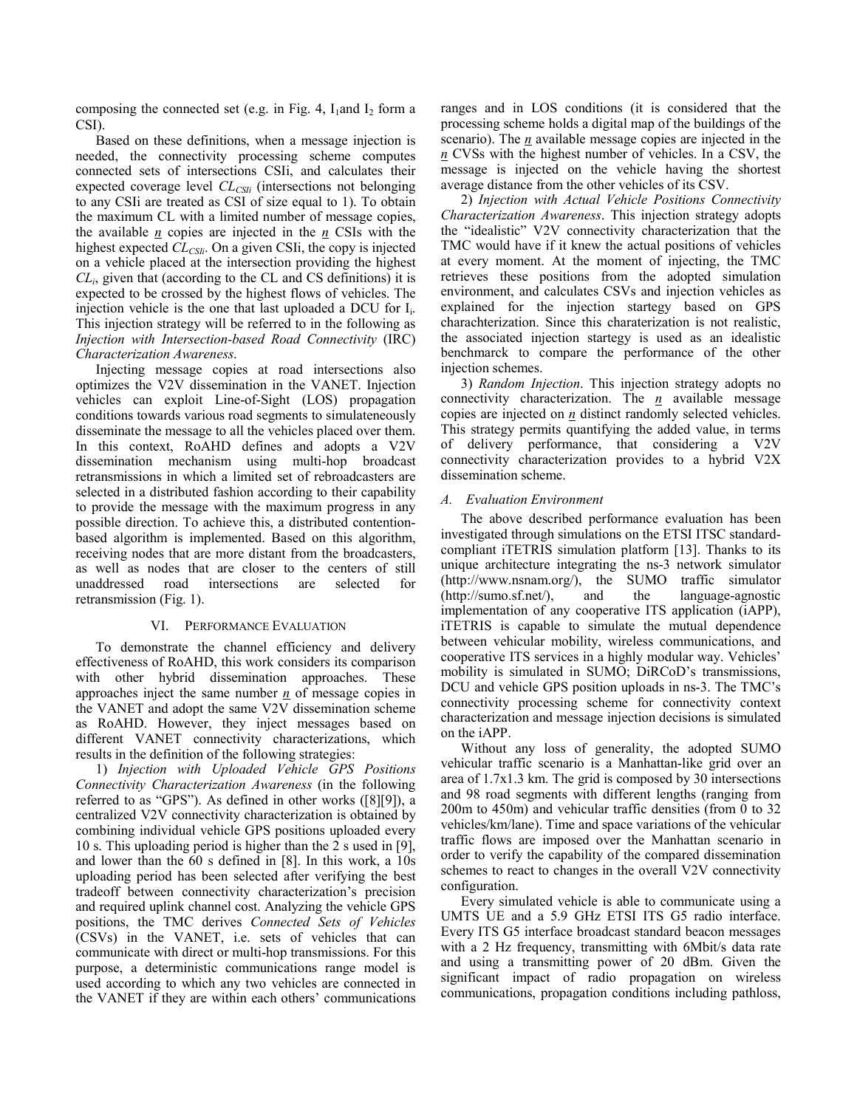composing the connected set (e.g. in Fig. 4,  $I_1$ and  $I_2$  form a CSI).

Based on these definitions, when a message injection is needed, the connectivity processing scheme computes connected sets of intersections CSIi, and calculates their expected coverage level *CL<sub>CSIi</sub>* (intersections not belonging to any CSIi are treated as CSI of size equal to 1). To obtain the maximum CL with a limited number of message copies, the available *n* copies are injected in the *n* CSIs with the highest expected *CL<sub>CSIi</sub>*. On a given CSIi, the copy is injected on a vehicle placed at the intersection providing the highest *CLi*, given that (according to the CL and CS definitions) it is expected to be crossed by the highest flows of vehicles. The injection vehicle is the one that last uploaded a DCU for  $I_i$ . This injection strategy will be referred to in the following as *Injection with Intersection-based Road Connectivity* (IRC) *Characterization Awareness*.

Injecting message copies at road intersections also optimizes the V2V dissemination in the VANET. Injection vehicles can exploit Line-of-Sight (LOS) propagation conditions towards various road segments to simulateneously disseminate the message to all the vehicles placed over them. In this context, RoAHD defines and adopts a V2V dissemination mechanism using multi-hop broadcast retransmissions in which a limited set of rebroadcasters are selected in a distributed fashion according to their capability to provide the message with the maximum progress in any possible direction. To achieve this, a distributed contentionbased algorithm is implemented. Based on this algorithm, receiving nodes that are more distant from the broadcasters, as well as nodes that are closer to the centers of still unaddressed road intersections are selected for retransmission (Fig. 1).

## VI. PERFORMANCE EVALUATION

To demonstrate the channel efficiency and delivery effectiveness of RoAHD, this work considers its comparison with other hybrid dissemination approaches. These approaches inject the same number  $n \neq n$  of message copies in the VANET and adopt the same V2V dissemination scheme as RoAHD. However, they inject messages based on different VANET connectivity characterizations, which results in the definition of the following strategies:

1) *Injection with Uploaded Vehicle GPS Positions Connectivity Characterization Awareness* (in the following referred to as "GPS"). As defined in other works ([8][9]), a centralized V2V connectivity characterization is obtained by combining individual vehicle GPS positions uploaded every 10 s. This uploading period is higher than the 2 s used in [9], and lower than the 60 s defined in [8]. In this work, a 10s uploading period has been selected after verifying the best tradeoff between connectivity characterization's precision and required uplink channel cost. Analyzing the vehicle GPS positions, the TMC derives *Connected Sets of Vehicles* (CSVs) in the VANET, i.e. sets of vehicles that can communicate with direct or multi-hop transmissions. For this purpose, a deterministic communications range model is used according to which any two vehicles are connected in the VANET if they are within each others' communications ranges and in LOS conditions (it is considered that the processing scheme holds a digital map of the buildings of the scenario). The *n* available message copies are injected in the *n* CVSs with the highest number of vehicles. In a CSV, the message is injected on the vehicle having the shortest average distance from the other vehicles of its CSV.

2) *Injection with Actual Vehicle Positions Connectivity Characterization Awareness*. This injection strategy adopts the "idealistic" V2V connectivity characterization that the TMC would have if it knew the actual positions of vehicles at every moment. At the moment of injecting, the TMC retrieves these positions from the adopted simulation environment, and calculates CSVs and injection vehicles as explained for the injection startegy based on GPS charachterization. Since this charaterization is not realistic, the associated injection startegy is used as an idealistic benchmarck to compare the performance of the other injection schemes.

3) *Random Injection*. This injection strategy adopts no connectivity characterization. The *n* available message copies are injected on *n* distinct randomly selected vehicles. This strategy permits quantifying the added value, in terms of delivery performance, that considering a V2V connectivity characterization provides to a hybrid V2X dissemination scheme.

## *A. Evaluation Environment*

The above described performance evaluation has been investigated through simulations on the ETSI ITSC standardcompliant iTETRIS simulation platform [13]. Thanks to its unique architecture integrating the ns-3 network simulator (http://www.nsnam.org/), the SUMO traffic simulator (http://sumo.sf.net/), and the language-agnostic implementation of any cooperative ITS application (iAPP), iTETRIS is capable to simulate the mutual dependence between vehicular mobility, wireless communications, and cooperative ITS services in a highly modular way. Vehicles' mobility is simulated in SUMO; DiRCoD's transmissions, DCU and vehicle GPS position uploads in ns-3. The TMC's connectivity processing scheme for connectivity context characterization and message injection decisions is simulated on the iAPP.

Without any loss of generality, the adopted SUMO vehicular traffic scenario is a Manhattan-like grid over an area of 1.7x1.3 km. The grid is composed by 30 intersections and 98 road segments with different lengths (ranging from 200m to 450m) and vehicular traffic densities (from 0 to 32 vehicles/km/lane). Time and space variations of the vehicular traffic flows are imposed over the Manhattan scenario in order to verify the capability of the compared dissemination schemes to react to changes in the overall V2V connectivity configuration.

Every simulated vehicle is able to communicate using a UMTS UE and a 5.9 GHz ETSI ITS G5 radio interface. Every ITS G5 interface broadcast standard beacon messages with a 2 Hz frequency, transmitting with 6Mbit/s data rate and using a transmitting power of 20 dBm. Given the significant impact of radio propagation on wireless communications, propagation conditions including pathloss,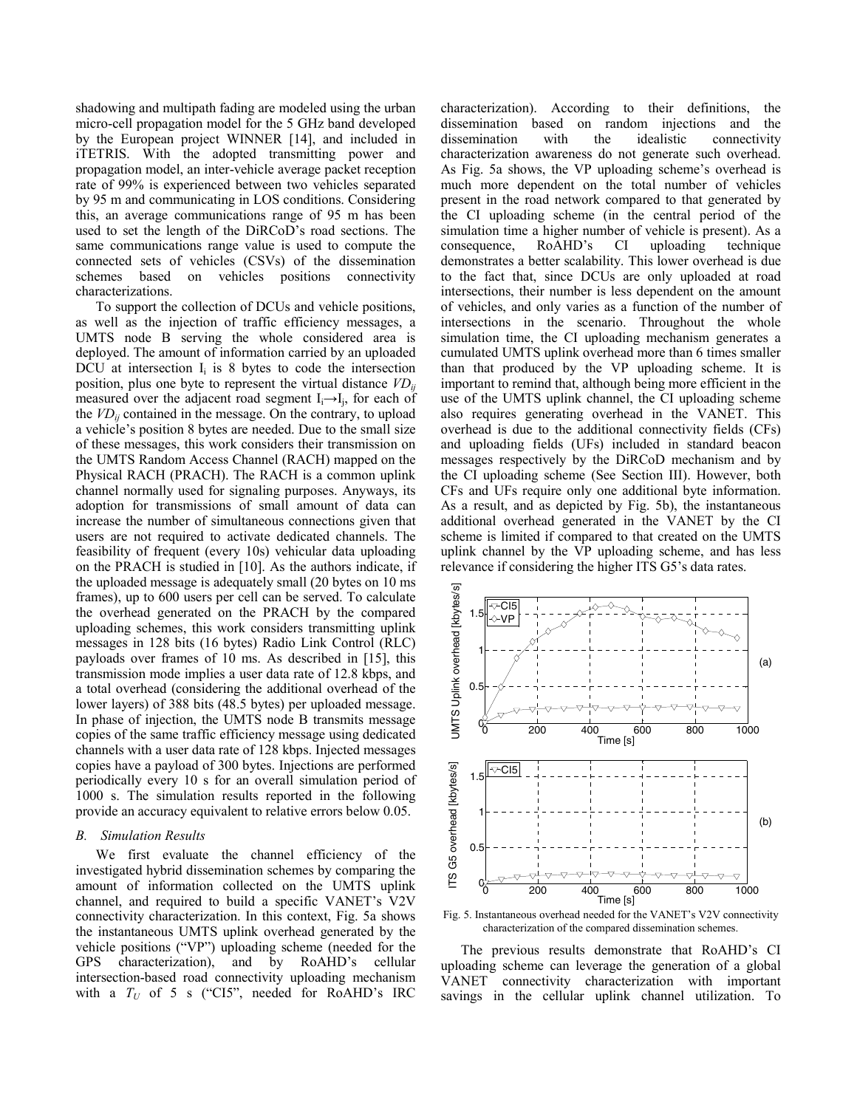shadowing and multipath fading are modeled using the urban micro-cell propagation model for the 5 GHz band developed by the European project WINNER [14], and included in iTETRIS. With the adopted transmitting power and propagation model, an inter-vehicle average packet reception rate of 99% is experienced between two vehicles separated by 95 m and communicating in LOS conditions. Considering this, an average communications range of 95 m has been used to set the length of the DiRCoD's road sections. The same communications range value is used to compute the connected sets of vehicles (CSVs) of the dissemination schemes based on vehicles positions connectivity characterizations.

To support the collection of DCUs and vehicle positions, as well as the injection of traffic efficiency messages, a UMTS node B serving the whole considered area is deployed. The amount of information carried by an uploaded DCU at intersection  $I_i$  is 8 bytes to code the intersection position, plus one byte to represent the virtual distance  $VD_{ii}$ measured over the adjacent road segment  $I_i \rightarrow I_i$ , for each of the  $VD_{ij}$  contained in the message. On the contrary, to upload a vehicle's position 8 bytes are needed. Due to the small size of these messages, this work considers their transmission on the UMTS Random Access Channel (RACH) mapped on the Physical RACH (PRACH). The RACH is a common uplink channel normally used for signaling purposes. Anyways, its adoption for transmissions of small amount of data can increase the number of simultaneous connections given that users are not required to activate dedicated channels. The feasibility of frequent (every 10s) vehicular data uploading on the PRACH is studied in [10]. As the authors indicate, if the uploaded message is adequately small (20 bytes on 10 ms frames), up to 600 users per cell can be served. To calculate the overhead generated on the PRACH by the compared uploading schemes, this work considers transmitting uplink messages in 128 bits (16 bytes) Radio Link Control (RLC) payloads over frames of 10 ms. As described in [15], this transmission mode implies a user data rate of 12.8 kbps, and a total overhead (considering the additional overhead of the lower layers) of 388 bits (48.5 bytes) per uploaded message. In phase of injection, the UMTS node B transmits message copies of the same traffic efficiency message using dedicated channels with a user data rate of 128 kbps. Injected messages copies have a payload of 300 bytes. Injections are performed periodically every 10 s for an overall simulation period of 1000 s. The simulation results reported in the following provide an accuracy equivalent to relative errors below 0.05.

#### *B. Simulation Results*

We first evaluate the channel efficiency of the investigated hybrid dissemination schemes by comparing the amount of information collected on the UMTS uplink channel, and required to build a specific VANET's V2V connectivity characterization. In this context, Fig. 5a shows the instantaneous UMTS uplink overhead generated by the vehicle positions ("VP") uploading scheme (needed for the GPS characterization), and by RoAHD's cellular intersection-based road connectivity uploading mechanism with a  $T_U$  of 5 s ("CI5", needed for RoAHD's IRC characterization). According to their definitions, the dissemination based on random injections and the dissemination with the idealistic connectivity characterization awareness do not generate such overhead. As Fig. 5a shows, the VP uploading scheme's overhead is much more dependent on the total number of vehicles present in the road network compared to that generated by the CI uploading scheme (in the central period of the simulation time a higher number of vehicle is present). As a consequence, RoAHD's CI uploading technique demonstrates a better scalability. This lower overhead is due to the fact that, since DCUs are only uploaded at road intersections, their number is less dependent on the amount of vehicles, and only varies as a function of the number of intersections in the scenario. Throughout the whole simulation time, the CI uploading mechanism generates a cumulated UMTS uplink overhead more than 6 times smaller than that produced by the VP uploading scheme. It is important to remind that, although being more efficient in the use of the UMTS uplink channel, the CI uploading scheme also requires generating overhead in the VANET. This overhead is due to the additional connectivity fields (CFs) and uploading fields (UFs) included in standard beacon messages respectively by the DiRCoD mechanism and by the CI uploading scheme (See Section III). However, both CFs and UFs require only one additional byte information. As a result, and as depicted by Fig. 5b), the instantaneous additional overhead generated in the VANET by the CI scheme is limited if compared to that created on the UMTS uplink channel by the VP uploading scheme, and has less relevance if considering the higher ITS G5's data rates.



Fig. 5. Instantaneous overhead needed for the VANET's V2V connectivity characterization of the compared dissemination schemes.

The previous results demonstrate that RoAHD's CI uploading scheme can leverage the generation of a global VANET connectivity characterization with important savings in the cellular uplink channel utilization. To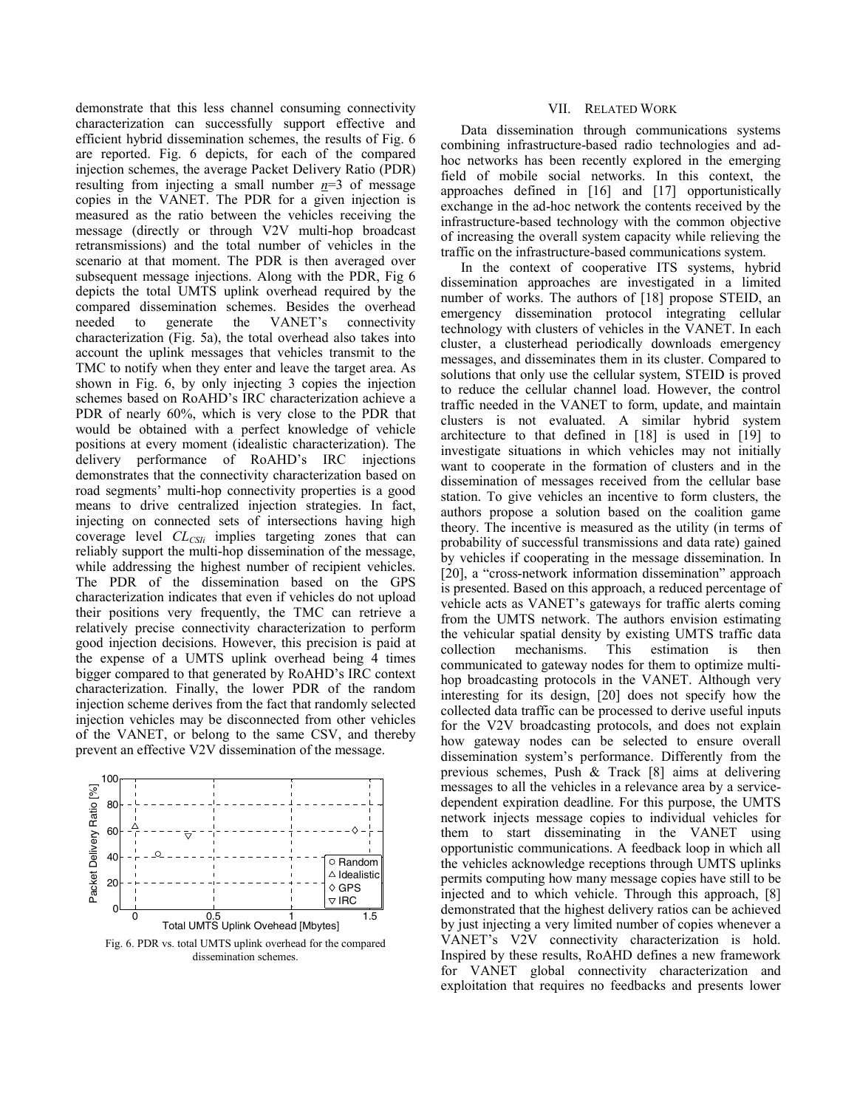demonstrate that this less channel consuming connectivity characterization can successfully support effective and efficient hybrid dissemination schemes, the results of Fig. 6 are reported. Fig. 6 depicts, for each of the compared injection schemes, the average Packet Delivery Ratio (PDR) resulting from injecting a small number  $n=3$  of message copies in the VANET. The PDR for a given injection is measured as the ratio between the vehicles receiving the message (directly or through V2V multi-hop broadcast retransmissions) and the total number of vehicles in the scenario at that moment. The PDR is then averaged over subsequent message injections. Along with the PDR, Fig 6 depicts the total UMTS uplink overhead required by the compared dissemination schemes. Besides the overhead needed to generate the VANET's connectivity characterization (Fig. 5a), the total overhead also takes into account the uplink messages that vehicles transmit to the TMC to notify when they enter and leave the target area. As shown in Fig. 6, by only injecting 3 copies the injection schemes based on RoAHD's IRC characterization achieve a PDR of nearly 60%, which is very close to the PDR that would be obtained with a perfect knowledge of vehicle positions at every moment (idealistic characterization). The delivery performance of RoAHD's IRC injections demonstrates that the connectivity characterization based on road segments' multi-hop connectivity properties is a good means to drive centralized injection strategies. In fact, injecting on connected sets of intersections having high coverage level *CLCSIi* implies targeting zones that can reliably support the multi-hop dissemination of the message, while addressing the highest number of recipient vehicles. The PDR of the dissemination based on the GPS characterization indicates that even if vehicles do not upload their positions very frequently, the TMC can retrieve a relatively precise connectivity characterization to perform good injection decisions. However, this precision is paid at the expense of a UMTS uplink overhead being 4 times bigger compared to that generated by RoAHD's IRC context characterization. Finally, the lower PDR of the random injection scheme derives from the fact that randomly selected injection vehicles may be disconnected from other vehicles of the VANET, or belong to the same CSV, and thereby prevent an effective V2V dissemination of the message.



Fig. 6. PDR vs. total UMTS uplink overhead for the compared dissemination schemes.

## VII. RELATED WORK

Data dissemination through communications systems combining infrastructure-based radio technologies and adhoc networks has been recently explored in the emerging field of mobile social networks. In this context, the approaches defined in [16] and [17] opportunistically exchange in the ad-hoc network the contents received by the infrastructure-based technology with the common objective of increasing the overall system capacity while relieving the traffic on the infrastructure-based communications system.

In the context of cooperative ITS systems, hybrid dissemination approaches are investigated in a limited number of works. The authors of [18] propose STEID, an emergency dissemination protocol integrating cellular technology with clusters of vehicles in the VANET. In each cluster, a clusterhead periodically downloads emergency messages, and disseminates them in its cluster. Compared to solutions that only use the cellular system, STEID is proved to reduce the cellular channel load. However, the control traffic needed in the VANET to form, update, and maintain clusters is not evaluated. A similar hybrid system architecture to that defined in [18] is used in [19] to investigate situations in which vehicles may not initially want to cooperate in the formation of clusters and in the dissemination of messages received from the cellular base station. To give vehicles an incentive to form clusters, the authors propose a solution based on the coalition game theory. The incentive is measured as the utility (in terms of probability of successful transmissions and data rate) gained by vehicles if cooperating in the message dissemination. In [20], a "cross-network information dissemination" approach is presented. Based on this approach, a reduced percentage of vehicle acts as VANET's gateways for traffic alerts coming from the UMTS network. The authors envision estimating the vehicular spatial density by existing UMTS traffic data collection mechanisms. This estimation is then communicated to gateway nodes for them to optimize multihop broadcasting protocols in the VANET. Although very interesting for its design, [20] does not specify how the collected data traffic can be processed to derive useful inputs for the V2V broadcasting protocols, and does not explain how gateway nodes can be selected to ensure overall dissemination system's performance. Differently from the previous schemes, Push & Track [8] aims at delivering messages to all the vehicles in a relevance area by a servicedependent expiration deadline. For this purpose, the UMTS network injects message copies to individual vehicles for them to start disseminating in the VANET using opportunistic communications. A feedback loop in which all the vehicles acknowledge receptions through UMTS uplinks permits computing how many message copies have still to be injected and to which vehicle. Through this approach, [8] demonstrated that the highest delivery ratios can be achieved by just injecting a very limited number of copies whenever a VANET's V2V connectivity characterization is hold. Inspired by these results, RoAHD defines a new framework for VANET global connectivity characterization and exploitation that requires no feedbacks and presents lower